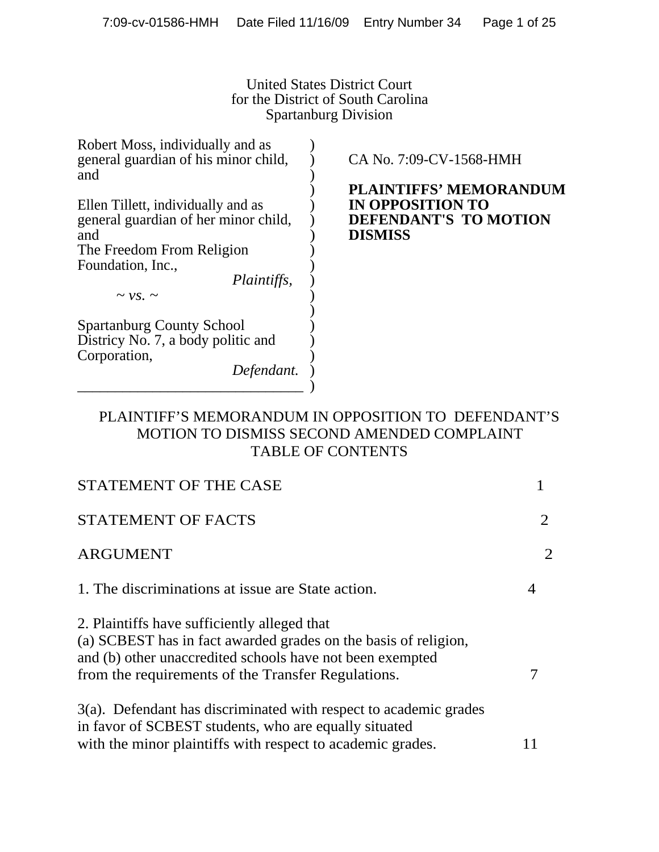United States District Court for the District of South Carolina Spartanburg Division

| Robert Moss, individually and as<br>general guardian of his minor child,<br>and                                                                           | CA No. 7:09-CV-1568-HMH                                                                      |
|-----------------------------------------------------------------------------------------------------------------------------------------------------------|----------------------------------------------------------------------------------------------|
| Ellen Tillett, individually and as<br>general guardian of her minor child,<br>and<br>The Freedom From Religion<br>Foundation, Inc.,<br><i>Plaintiffs,</i> | <b>PLAINTIFFS' MEMORANDUM</b><br>IN OPPOSITION TO<br>DEFENDANT'S TO MOTION<br><b>DISMISS</b> |
| $\sim$ vs. $\sim$                                                                                                                                         |                                                                                              |
| <b>Spartanburg County School</b><br>Districy No. 7, a body politic and<br>Corporation,<br>Defendant.                                                      |                                                                                              |

# PLAINTIFF'S MEMORANDUM IN OPPOSITION TO DEFENDANT'S MOTION TO DISMISS SECOND AMENDED COMPLAINT TABLE OF CONTENTS

| STATEMENT OF THE CASE                                                                                                                                                                                                              |                |
|------------------------------------------------------------------------------------------------------------------------------------------------------------------------------------------------------------------------------------|----------------|
| <b>STATEMENT OF FACTS</b>                                                                                                                                                                                                          | 2              |
| <b>ARGUMENT</b>                                                                                                                                                                                                                    | $\overline{2}$ |
| 1. The discriminations at issue are State action.                                                                                                                                                                                  |                |
| 2. Plaintiffs have sufficiently alleged that<br>(a) SCBEST has in fact awarded grades on the basis of religion,<br>and (b) other unaccredited schools have not been exempted<br>from the requirements of the Transfer Regulations. |                |
| $3(a)$ . Defendant has discriminated with respect to academic grades<br>in favor of SCBEST students, who are equally situated<br>with the minor plaintiffs with respect to academic grades.                                        |                |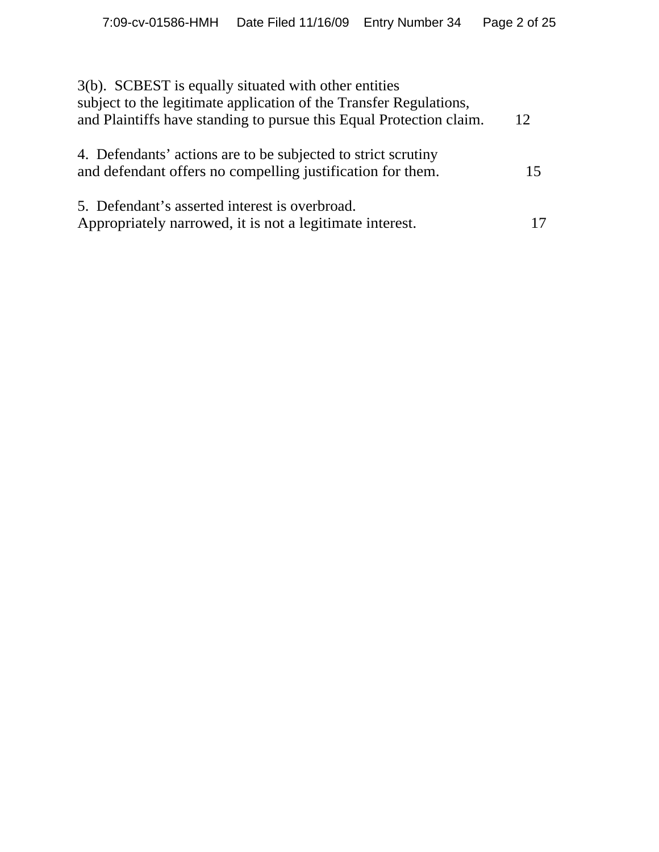| 3(b). SCBEST is equally situated with other entities<br>subject to the legitimate application of the Transfer Regulations,<br>and Plaintiffs have standing to pursue this Equal Protection claim. | 12 |
|---------------------------------------------------------------------------------------------------------------------------------------------------------------------------------------------------|----|
| 4. Defendants' actions are to be subjected to strict scrutiny<br>and defendant offers no compelling justification for them.                                                                       | 15 |
| 5. Defendant's asserted interest is overbroad.<br>Appropriately narrowed, it is not a legitimate interest.                                                                                        | 17 |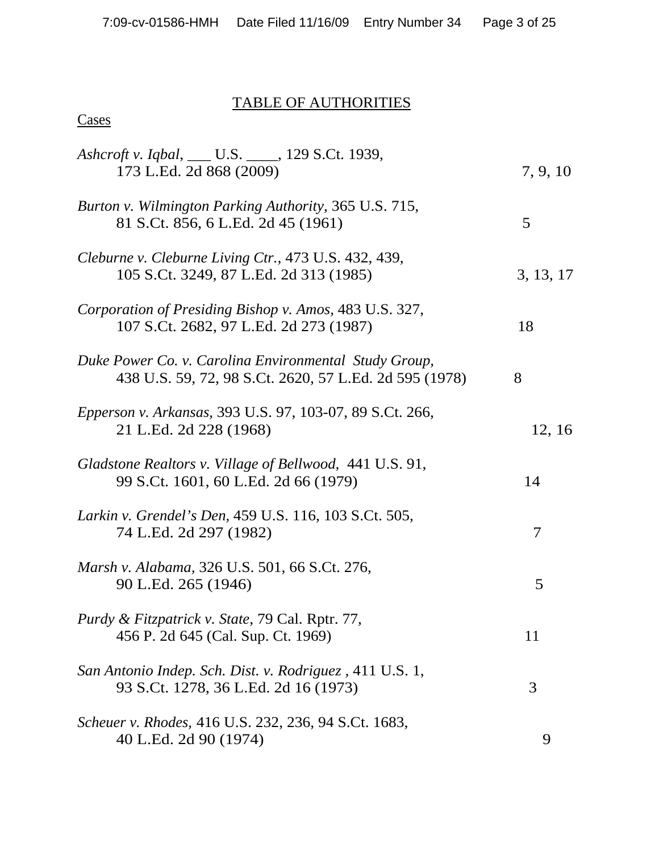# TABLE OF AUTHORITIES

| Ashcroft v. Iqbal, ___ U.S. ____, 129 S.Ct. 1939,<br>173 L.Ed. 2d 868 (2009)                                    | 7, 9, 10  |
|-----------------------------------------------------------------------------------------------------------------|-----------|
| Burton v. Wilmington Parking Authority, 365 U.S. 715,<br>81 S.Ct. 856, 6 L.Ed. 2d 45 (1961)                     | 5         |
| Cleburne v. Cleburne Living Ctr., 473 U.S. 432, 439,<br>105 S.Ct. 3249, 87 L.Ed. 2d 313 (1985)                  | 3, 13, 17 |
| Corporation of Presiding Bishop v. Amos, 483 U.S. 327,<br>107 S.Ct. 2682, 97 L.Ed. 2d 273 (1987)                | 18        |
| Duke Power Co. v. Carolina Environmental Study Group,<br>438 U.S. 59, 72, 98 S.Ct. 2620, 57 L.Ed. 2d 595 (1978) | 8         |
| Epperson v. Arkansas, 393 U.S. 97, 103-07, 89 S.Ct. 266,<br>21 L.Ed. 2d 228 (1968)                              | 12, 16    |
| Gladstone Realtors v. Village of Bellwood, 441 U.S. 91,<br>99 S.Ct. 1601, 60 L.Ed. 2d 66 (1979)                 | 14        |
| Larkin v. Grendel's Den, 459 U.S. 116, 103 S.Ct. 505,<br>74 L.Ed. 2d 297 (1982)                                 | 7         |
| Marsh v. Alabama, 326 U.S. 501, 66 S.Ct. 276,<br>90 L.Ed. 265 (1946)                                            | 5         |
| Purdy & Fitzpatrick v. State, 79 Cal. Rptr. 77,<br>456 P. 2d 645 (Cal. Sup. Ct. 1969)                           | 11        |
| San Antonio Indep. Sch. Dist. v. Rodriguez, 411 U.S. 1,<br>93 S.Ct. 1278, 36 L.Ed. 2d 16 (1973)                 | 3         |
| Scheuer v. Rhodes, 416 U.S. 232, 236, 94 S.Ct. 1683,<br>40 L.Ed. 2d 90 (1974)                                   | 9         |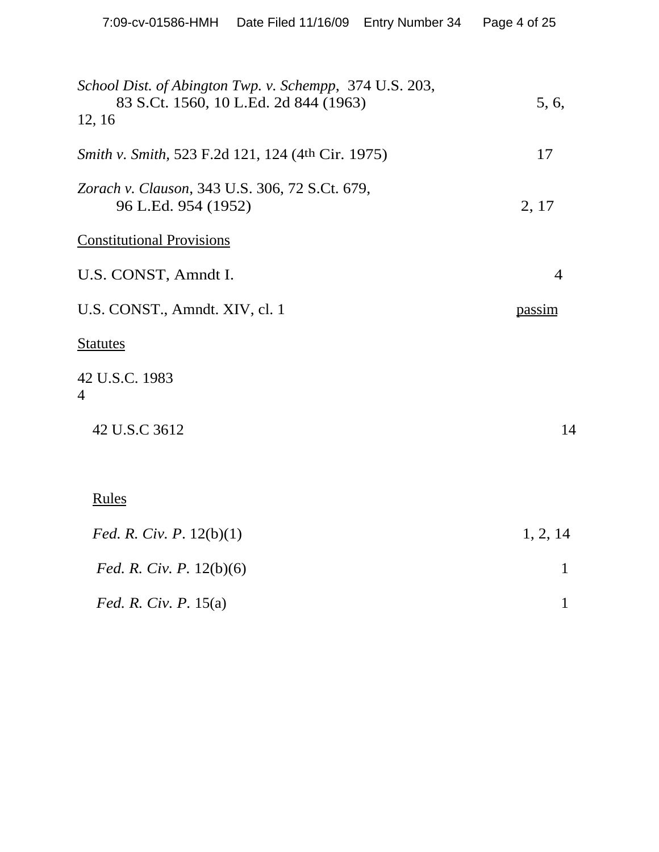| School Dist. of Abington Twp. v. Schempp, 374 U.S. 203,<br>83 S.Ct. 1560, 10 L.Ed. 2d 844 (1963)<br>12, 16 | 5, 6,          |
|------------------------------------------------------------------------------------------------------------|----------------|
| <i>Smith v. Smith, 523 F.2d 121, 124 (4th Cir. 1975)</i>                                                   | 17             |
| Zorach v. Clauson, 343 U.S. 306, 72 S.Ct. 679,<br>96 L.Ed. 954 (1952)                                      | 2, 17          |
| <b>Constitutional Provisions</b>                                                                           |                |
| U.S. CONST, Amndt I.                                                                                       | $\overline{4}$ |
| U.S. CONST., Amndt. XIV, cl. 1                                                                             | passim         |
| <b>Statutes</b>                                                                                            |                |
| 42 U.S.C. 1983<br>$\overline{4}$                                                                           |                |
| 42 U.S.C 3612                                                                                              | 14             |
|                                                                                                            |                |
| <b>Rules</b>                                                                                               |                |
| <i>Fed. R. Civ. P.</i> $12(b)(1)$                                                                          | 1, 2, 14       |
| <i>Fed. R. Civ. P.</i> 12(b)(6)                                                                            | 1              |
| <i>Fed. R. Civ. P.</i> $15(a)$                                                                             | $\mathbf{1}$   |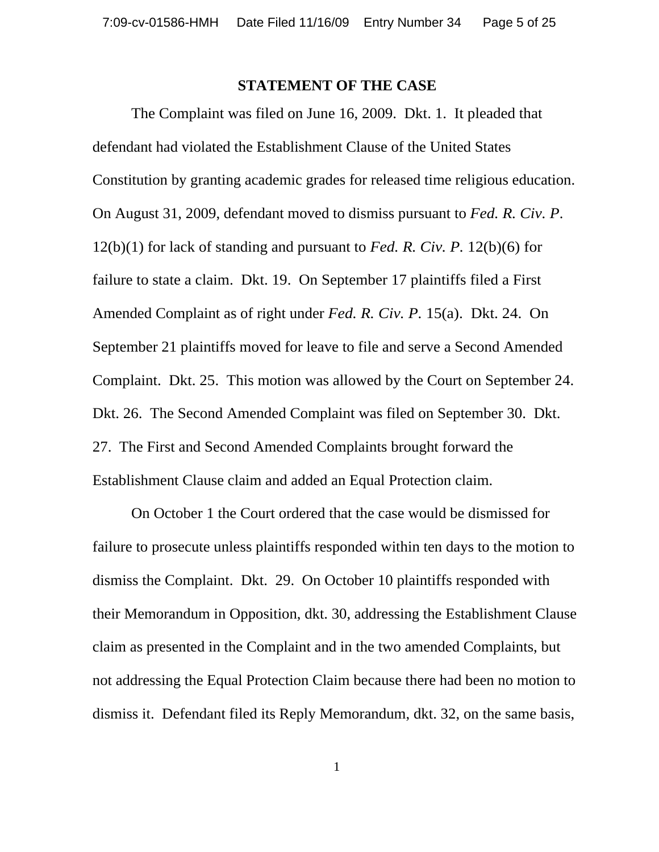#### **STATEMENT OF THE CASE**

The Complaint was filed on June 16, 2009. Dkt. 1. It pleaded that defendant had violated the Establishment Clause of the United States Constitution by granting academic grades for released time religious education. On August 31, 2009, defendant moved to dismiss pursuant to *Fed. R. Civ. P*. 12(b)(1) for lack of standing and pursuant to *Fed. R. Civ. P.* 12(b)(6) for failure to state a claim. Dkt. 19. On September 17 plaintiffs filed a First Amended Complaint as of right under *Fed. R. Civ. P.* 15(a). Dkt. 24. On September 21 plaintiffs moved for leave to file and serve a Second Amended Complaint. Dkt. 25. This motion was allowed by the Court on September 24. Dkt. 26. The Second Amended Complaint was filed on September 30. Dkt. 27. The First and Second Amended Complaints brought forward the Establishment Clause claim and added an Equal Protection claim.

On October 1 the Court ordered that the case would be dismissed for failure to prosecute unless plaintiffs responded within ten days to the motion to dismiss the Complaint. Dkt. 29. On October 10 plaintiffs responded with their Memorandum in Opposition, dkt. 30, addressing the Establishment Clause claim as presented in the Complaint and in the two amended Complaints, but not addressing the Equal Protection Claim because there had been no motion to dismiss it. Defendant filed its Reply Memorandum, dkt. 32, on the same basis,

1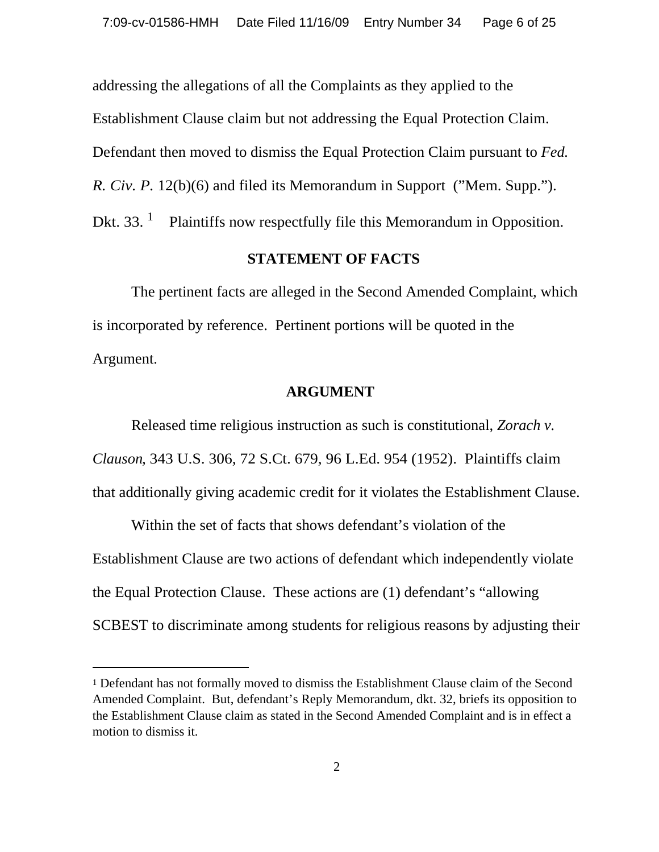addressing the allegations of all the Complaints as they applied to the Establishment Clause claim but not addressing the Equal Protection Claim. Defendant then moved to dismiss the Equal Protection Claim pursuant to *Fed. R. Civ. P.* 12(b)(6) and filed its Memorandum in Support ("Mem. Supp."). Dkt. 33.  $<sup>1</sup>$  Plaintiffs now respectfully file this Memorandum in Opposition.</sup>

#### **STATEMENT OF FACTS**

The pertinent facts are alleged in the Second Amended Complaint, which is incorporated by reference. Pertinent portions will be quoted in the Argument.

#### **ARGUMENT**

Released time religious instruction as such is constitutional, *Zorach v. Clauson*, 343 U.S. 306, 72 S.Ct. 679, 96 L.Ed. 954 (1952). Plaintiffs claim that additionally giving academic credit for it violates the Establishment Clause.

Within the set of facts that shows defendant's violation of the Establishment Clause are two actions of defendant which independently violate the Equal Protection Clause. These actions are (1) defendant's "allowing SCBEST to discriminate among students for religious reasons by adjusting their

<sup>1</sup> Defendant has not formally moved to dismiss the Establishment Clause claim of the Second Amended Complaint. But, defendant's Reply Memorandum, dkt. 32, briefs its opposition to the Establishment Clause claim as stated in the Second Amended Complaint and is in effect a motion to dismiss it.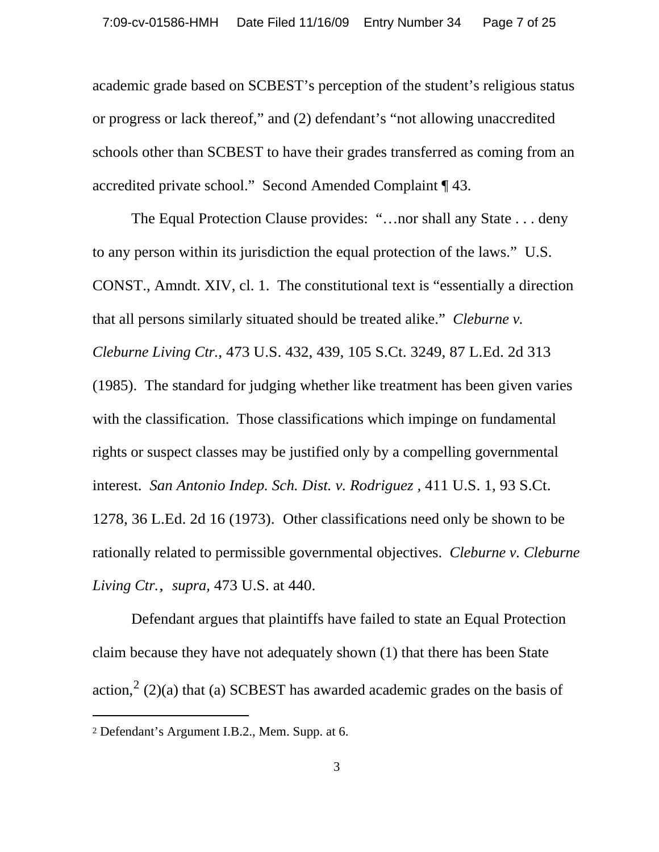academic grade based on SCBEST's perception of the student's religious status or progress or lack thereof," and (2) defendant's "not allowing unaccredited schools other than SCBEST to have their grades transferred as coming from an accredited private school." Second Amended Complaint ¶ 43.

The Equal Protection Clause provides: "…nor shall any State . . . deny to any person within its jurisdiction the equal protection of the laws." U.S. CONST., Amndt. XIV, cl. 1. The constitutional text is "essentially a direction that all persons similarly situated should be treated alike." *Cleburne v. Cleburne Living Ctr.*, 473 U.S. 432, 439, 105 S.Ct. 3249, 87 L.Ed. 2d 313 (1985). The standard for judging whether like treatment has been given varies with the classification. Those classifications which impinge on fundamental rights or suspect classes may be justified only by a compelling governmental interest. *San Antonio Indep. Sch. Dist. v. Rodriguez ,* 411 U.S. 1, 93 S.Ct. 1278, 36 L.Ed. 2d 16 (1973). Other classifications need only be shown to be rationally related to permissible governmental objectives. *Cleburne v. Cleburne Living Ctr.*, *supra,* 473 U.S. at 440.

Defendant argues that plaintiffs have failed to state an Equal Protection claim because they have not adequately shown (1) that there has been State action,  $2(2)(a)$  that (a) SCBEST has awarded academic grades on the basis of

<sup>2</sup> Defendant's Argument I.B.2., Mem. Supp. at 6.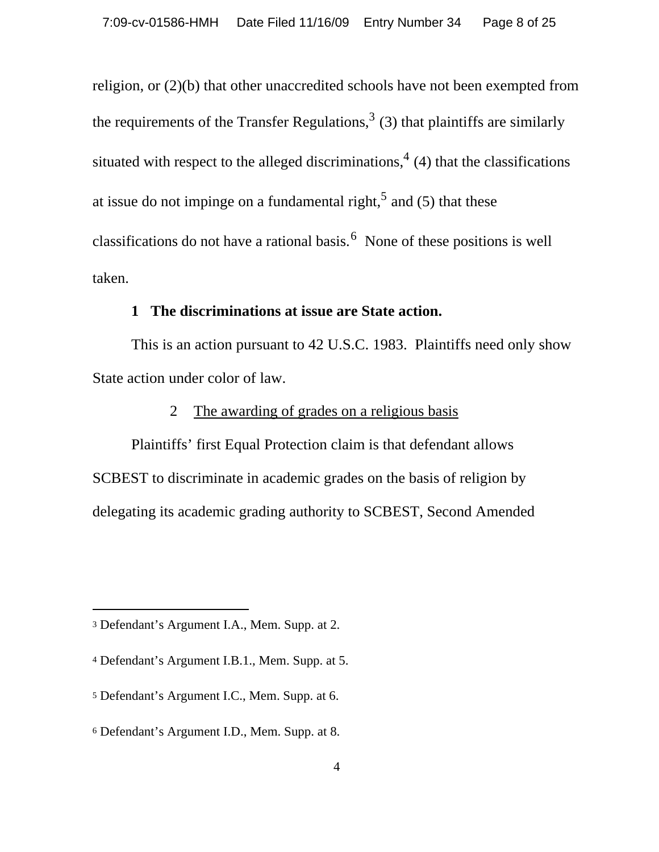religion, or (2)(b) that other unaccredited schools have not been exempted from the requirements of the Transfer Regulations,  $3(3)$  that plaintiffs are similarly situated with respect to the alleged discriminations,  $4(4)$  that the classifications at issue do not impinge on a fundamental right,<sup>5</sup> and (5) that these classifications do not have a rational basis.  $6$  None of these positions is well taken.

#### **1 The discriminations at issue are State action.**

This is an action pursuant to 42 U.S.C. 1983. Plaintiffs need only show State action under color of law.

## 2 The awarding of grades on a religious basis

Plaintiffs' first Equal Protection claim is that defendant allows SCBEST to discriminate in academic grades on the basis of religion by delegating its academic grading authority to SCBEST, Second Amended

<sup>3</sup> Defendant's Argument I.A., Mem. Supp. at 2.

<sup>4</sup> Defendant's Argument I.B.1., Mem. Supp. at 5.

<sup>5</sup> Defendant's Argument I.C., Mem. Supp. at 6.

<sup>6</sup> Defendant's Argument I.D., Mem. Supp. at 8.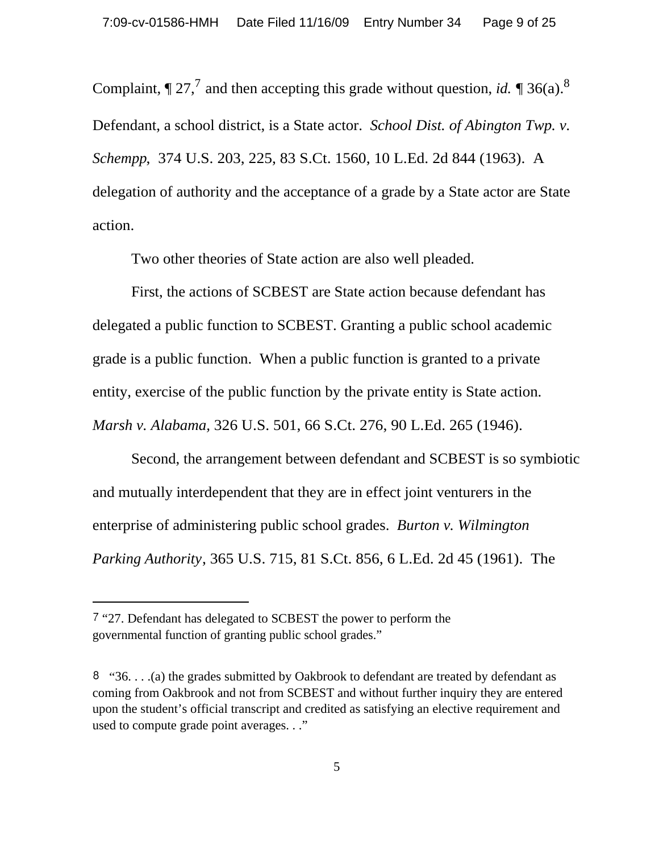Complaint,  $\P 27<sup>7</sup>$  and then accepting this grade without question, *id*.  $\P 36(a)$ <sup>8</sup> Defendant, a school district, is a State actor. *School Dist. of Abington Twp. v. Schempp*, 374 U.S. 203, 225, 83 S.Ct. 1560, 10 L.Ed. 2d 844 (1963). A delegation of authority and the acceptance of a grade by a State actor are State action.

Two other theories of State action are also well pleaded.

First, the actions of SCBEST are State action because defendant has delegated a public function to SCBEST. Granting a public school academic grade is a public function. When a public function is granted to a private entity, exercise of the public function by the private entity is State action. *Marsh v. Alabama,* 326 U.S. 501, 66 S.Ct. 276, 90 L.Ed. 265 (1946).

Second, the arrangement between defendant and SCBEST is so symbiotic and mutually interdependent that they are in effect joint venturers in the enterprise of administering public school grades. *Burton v. Wilmington Parking Authority*, 365 U.S. 715, 81 S.Ct. 856, 6 L.Ed. 2d 45 (1961). The

 <sup>&</sup>quot;27. Defendant has delegated to SCBEST the power to perform the governmental function of granting public school grades."

 $\frac{8}{36}$ ...(a) the grades submitted by Oakbrook to defendant are treated by defendant as coming from Oakbrook and not from SCBEST and without further inquiry they are entered upon the student's official transcript and credited as satisfying an elective requirement and used to compute grade point averages. . ."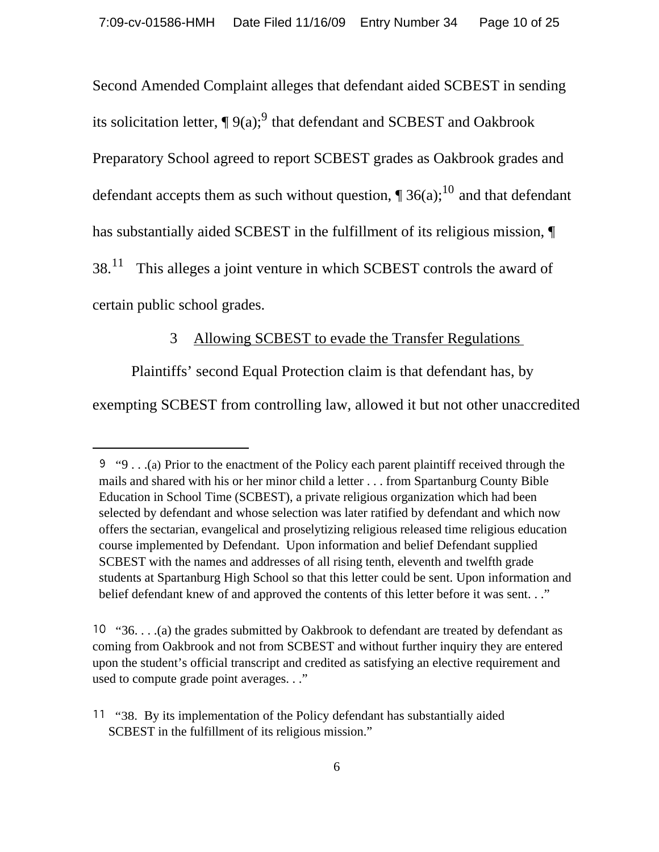Second Amended Complaint alleges that defendant aided SCBEST in sending its solicitation letter,  $\P$  9(a);<sup>9</sup> that defendant and SCBEST and Oakbrook Preparatory School agreed to report SCBEST grades as Oakbrook grades and defendant accepts them as such without question,  $\P$  36(a);<sup>10</sup> and that defendant has substantially aided SCBEST in the fulfillment of its religious mission, ¶  $38.<sup>11</sup>$  This alleges a joint venture in which SCBEST controls the award of certain public school grades.

#### 3 Allowing SCBEST to evade the Transfer Regulations

Plaintiffs' second Equal Protection claim is that defendant has, by

exempting SCBEST from controlling law, allowed it but not other unaccredited

 $9 \cdot 9$ . . .(a) Prior to the enactment of the Policy each parent plaintiff received through the mails and shared with his or her minor child a letter . . . from Spartanburg County Bible Education in School Time (SCBEST), a private religious organization which had been selected by defendant and whose selection was later ratified by defendant and which now offers the sectarian, evangelical and proselytizing religious released time religious education course implemented by Defendant. Upon information and belief Defendant supplied SCBEST with the names and addresses of all rising tenth, eleventh and twelfth grade students at Spartanburg High School so that this letter could be sent. Upon information and belief defendant knew of and approved the contents of this letter before it was sent. . ."

 <sup>&</sup>quot;36. . . .(a) the grades submitted by Oakbrook to defendant are treated by defendant as coming from Oakbrook and not from SCBEST and without further inquiry they are entered upon the student's official transcript and credited as satisfying an elective requirement and used to compute grade point averages. . ."

<sup>&</sup>lt;sup>11</sup> "38. By its implementation of the Policy defendant has substantially aided SCBEST in the fulfillment of its religious mission."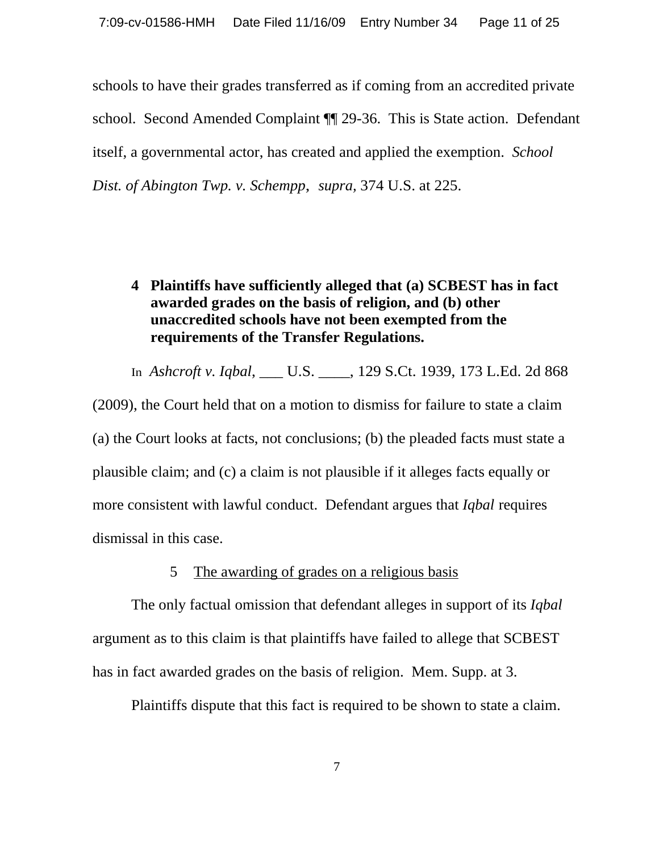schools to have their grades transferred as if coming from an accredited private school. Second Amended Complaint ¶¶ 29-36. This is State action. Defendant itself, a governmental actor, has created and applied the exemption. *School Dist. of Abington Twp. v. Schempp*, *supra,* 374 U.S. at 225.

# **4 Plaintiffs have sufficiently alleged that (a) SCBEST has in fact awarded grades on the basis of religion, and (b) other unaccredited schools have not been exempted from the requirements of the Transfer Regulations.**

In *Ashcroft v. Iqbal*, \_\_\_ U.S. \_\_\_\_, 129 S.Ct. 1939, 173 L.Ed. 2d 868

(2009), the Court held that on a motion to dismiss for failure to state a claim (a) the Court looks at facts, not conclusions; (b) the pleaded facts must state a plausible claim; and (c) a claim is not plausible if it alleges facts equally or more consistent with lawful conduct. Defendant argues that *Iqbal* requires dismissal in this case.

#### 5 The awarding of grades on a religious basis

The only factual omission that defendant alleges in support of its *Iqbal* argument as to this claim is that plaintiffs have failed to allege that SCBEST has in fact awarded grades on the basis of religion. Mem. Supp. at 3.

Plaintiffs dispute that this fact is required to be shown to state a claim.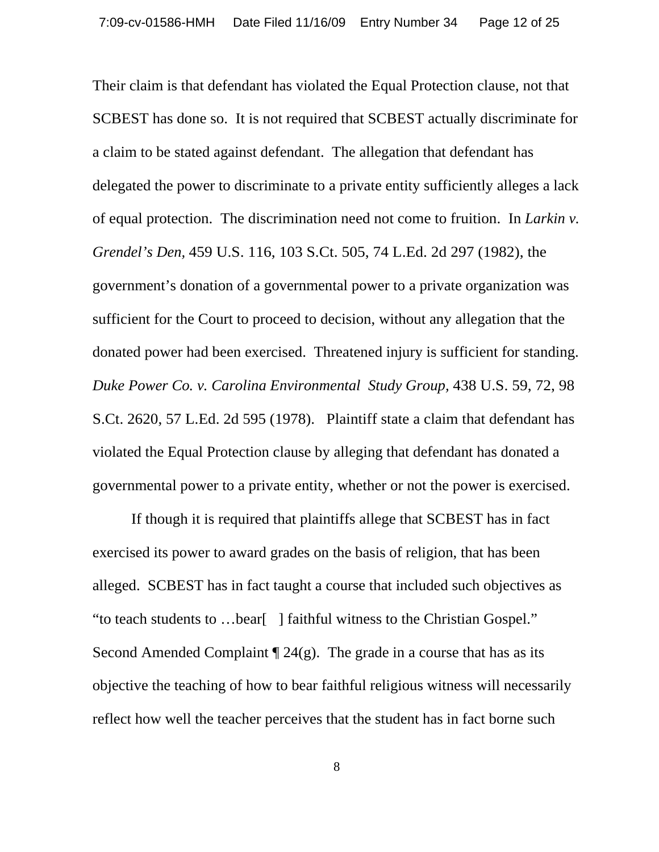Their claim is that defendant has violated the Equal Protection clause, not that SCBEST has done so. It is not required that SCBEST actually discriminate for a claim to be stated against defendant. The allegation that defendant has delegated the power to discriminate to a private entity sufficiently alleges a lack of equal protection. The discrimination need not come to fruition. In *Larkin v. Grendel's Den,* 459 U.S. 116, 103 S.Ct. 505, 74 L.Ed. 2d 297 (1982), the government's donation of a governmental power to a private organization was sufficient for the Court to proceed to decision, without any allegation that the donated power had been exercised. Threatened injury is sufficient for standing. *Duke Power Co. v. Carolina Environmental Study Group,* 438 U.S. 59, 72, 98 S.Ct. 2620, 57 L.Ed. 2d 595 (1978). Plaintiff state a claim that defendant has violated the Equal Protection clause by alleging that defendant has donated a governmental power to a private entity, whether or not the power is exercised.

If though it is required that plaintiffs allege that SCBEST has in fact exercised its power to award grades on the basis of religion, that has been alleged. SCBEST has in fact taught a course that included such objectives as "to teach students to …bear[ ] faithful witness to the Christian Gospel." Second Amended Complaint  $\P$  24(g). The grade in a course that has as its objective the teaching of how to bear faithful religious witness will necessarily reflect how well the teacher perceives that the student has in fact borne such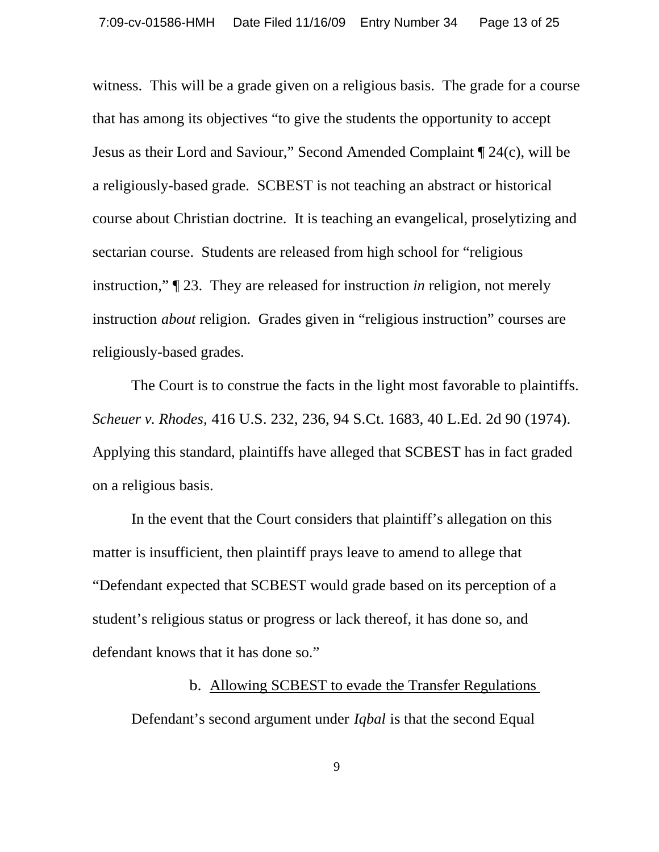witness. This will be a grade given on a religious basis. The grade for a course that has among its objectives "to give the students the opportunity to accept Jesus as their Lord and Saviour," Second Amended Complaint ¶ 24(c), will be a religiously-based grade. SCBEST is not teaching an abstract or historical course about Christian doctrine. It is teaching an evangelical, proselytizing and sectarian course. Students are released from high school for "religious instruction," ¶ 23. They are released for instruction *in* religion, not merely instruction *about* religion. Grades given in "religious instruction" courses are religiously-based grades.

The Court is to construe the facts in the light most favorable to plaintiffs. *Scheuer v. Rhodes,* 416 U.S. 232, 236, 94 S.Ct. 1683, 40 L.Ed. 2d 90 (1974). Applying this standard, plaintiffs have alleged that SCBEST has in fact graded on a religious basis.

In the event that the Court considers that plaintiff's allegation on this matter is insufficient, then plaintiff prays leave to amend to allege that "Defendant expected that SCBEST would grade based on its perception of a student's religious status or progress or lack thereof, it has done so, and defendant knows that it has done so."

# b. Allowing SCBEST to evade the Transfer Regulations

Defendant's second argument under *Iqbal* is that the second Equal

9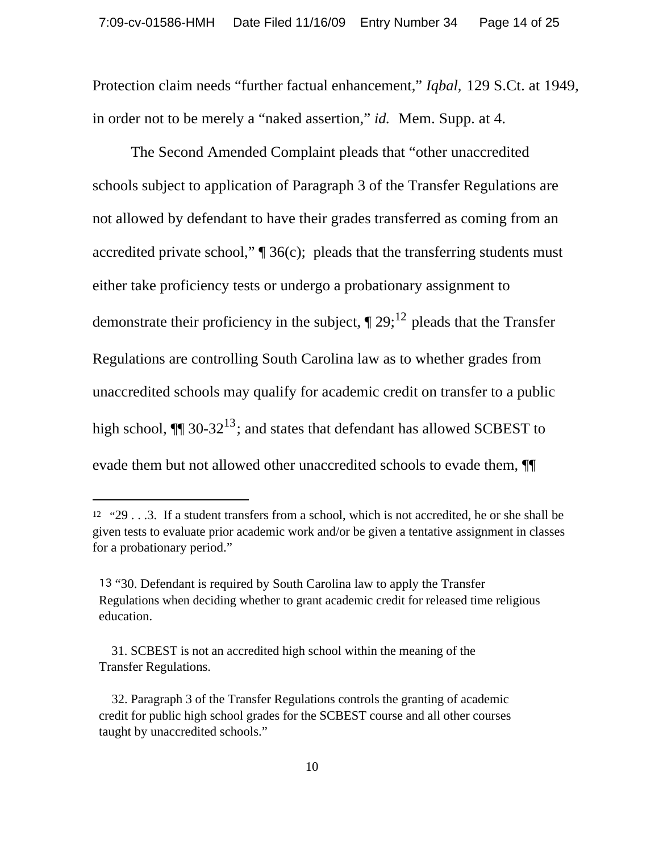Protection claim needs "further factual enhancement," *Iqbal,* 129 S.Ct. at 1949, in order not to be merely a "naked assertion," *id.* Mem. Supp. at 4.

 The Second Amended Complaint pleads that "other unaccredited schools subject to application of Paragraph 3 of the Transfer Regulations are not allowed by defendant to have their grades transferred as coming from an accredited private school,"  $\mathcal{B}$  36(c); pleads that the transferring students must either take proficiency tests or undergo a probationary assignment to demonstrate their proficiency in the subject,  $\P$  29;<sup>12</sup> pleads that the Transfer Regulations are controlling South Carolina law as to whether grades from unaccredited schools may qualify for academic credit on transfer to a public high school,  $\P$  30-32<sup>13</sup>; and states that defendant has allowed SCBEST to evade them but not allowed other unaccredited schools to evade them, ¶¶

<sup>12</sup> "29 . . .3. If a student transfers from a school, which is not accredited, he or she shall be given tests to evaluate prior academic work and/or be given a tentative assignment in classes for a probationary period."

<sup>13 &</sup>quot;30. Defendant is required by South Carolina law to apply the Transfer Regulations when deciding whether to grant academic credit for released time religious education.

 <sup>31.</sup> SCBEST is not an accredited high school within the meaning of the Transfer Regulations.

 <sup>32.</sup> Paragraph 3 of the Transfer Regulations controls the granting of academic credit for public high school grades for the SCBEST course and all other courses taught by unaccredited schools."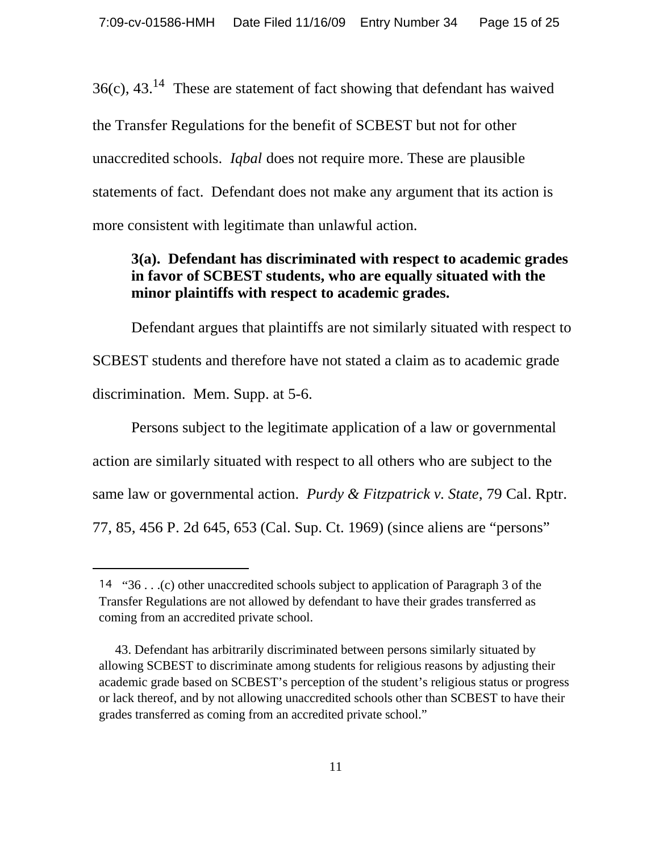$36(c)$ ,  $43.^{14}$  These are statement of fact showing that defendant has waived the Transfer Regulations for the benefit of SCBEST but not for other unaccredited schools. *Iqbal* does not require more. These are plausible statements of fact. Defendant does not make any argument that its action is more consistent with legitimate than unlawful action.

#### **3(a). Defendant has discriminated with respect to academic grades in favor of SCBEST students, who are equally situated with the minor plaintiffs with respect to academic grades.**

Defendant argues that plaintiffs are not similarly situated with respect to SCBEST students and therefore have not stated a claim as to academic grade discrimination. Mem. Supp. at 5-6.

Persons subject to the legitimate application of a law or governmental action are similarly situated with respect to all others who are subject to the same law or governmental action. *Purdy & Fitzpatrick v. State*, 79 Cal. Rptr. 77, 85, 456 P. 2d 645, 653 (Cal. Sup. Ct. 1969) (since aliens are "persons"

<sup>14 &</sup>quot;36 . . .(c) other unaccredited schools subject to application of Paragraph 3 of the Transfer Regulations are not allowed by defendant to have their grades transferred as coming from an accredited private school.

 <sup>43.</sup> Defendant has arbitrarily discriminated between persons similarly situated by allowing SCBEST to discriminate among students for religious reasons by adjusting their academic grade based on SCBEST's perception of the student's religious status or progress or lack thereof, and by not allowing unaccredited schools other than SCBEST to have their grades transferred as coming from an accredited private school."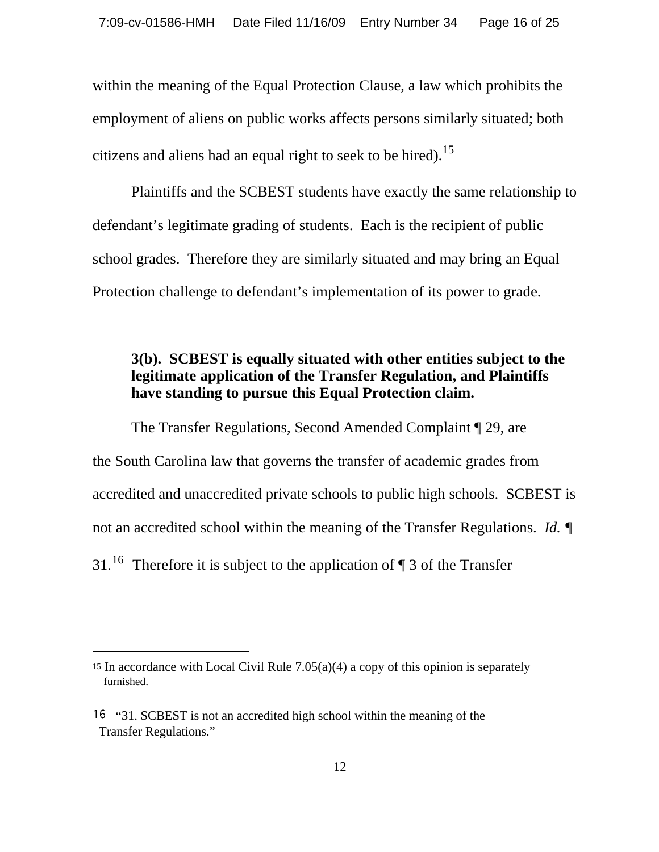within the meaning of the Equal Protection Clause, a law which prohibits the employment of aliens on public works affects persons similarly situated; both citizens and aliens had an equal right to seek to be hired).<sup>15</sup>

Plaintiffs and the SCBEST students have exactly the same relationship to defendant's legitimate grading of students. Each is the recipient of public school grades. Therefore they are similarly situated and may bring an Equal Protection challenge to defendant's implementation of its power to grade.

## **3(b). SCBEST is equally situated with other entities subject to the legitimate application of the Transfer Regulation, and Plaintiffs have standing to pursue this Equal Protection claim.**

The Transfer Regulations, Second Amended Complaint ¶ 29, are the South Carolina law that governs the transfer of academic grades from accredited and unaccredited private schools to public high schools. SCBEST is not an accredited school within the meaning of the Transfer Regulations. *Id.* ¶ 31.<sup>16</sup> Therefore it is subject to the application of  $\P$  3 of the Transfer

<sup>&</sup>lt;sup>15</sup> In accordance with Local Civil Rule  $7.05(a)(4)$  a copy of this opinion is separately furnished.

<sup>&</sup>lt;sup>16</sup> "31. SCBEST is not an accredited high school within the meaning of the Transfer Regulations."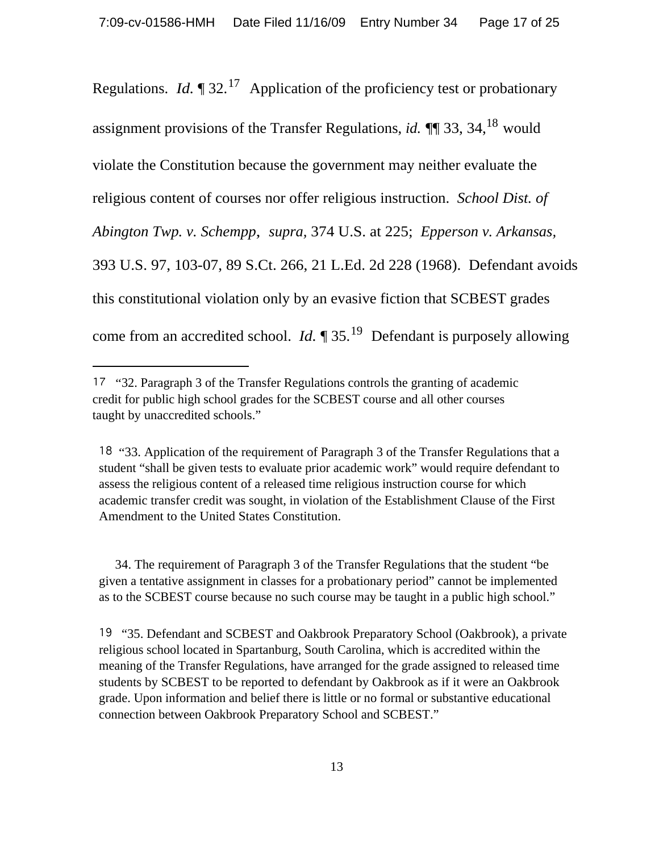Regulations. *Id.*  $\P$  32.<sup>17</sup> Application of the proficiency test or probationary assignment provisions of the Transfer Regulations, *id.* ¶¶ 33, 34,18 would violate the Constitution because the government may neither evaluate the religious content of courses nor offer religious instruction. *School Dist. of Abington Twp. v. Schempp*, *supra,* 374 U.S. at 225; *Epperson v. Arkansas,* 393 U.S. 97, 103-07, 89 S.Ct. 266, 21 L.Ed. 2d 228 (1968). Defendant avoids this constitutional violation only by an evasive fiction that SCBEST grades come from an accredited school. *Id.* ¶ 35.19 Defendant is purposely allowing

 34. The requirement of Paragraph 3 of the Transfer Regulations that the student "be given a tentative assignment in classes for a probationary period" cannot be implemented as to the SCBEST course because no such course may be taught in a public high school."

<sup>&</sup>lt;sup>17</sup> "32. Paragraph 3 of the Transfer Regulations controls the granting of academic credit for public high school grades for the SCBEST course and all other courses taught by unaccredited schools."

<sup>&</sup>lt;sup>18</sup> "33. Application of the requirement of Paragraph 3 of the Transfer Regulations that a student "shall be given tests to evaluate prior academic work" would require defendant to assess the religious content of a released time religious instruction course for which academic transfer credit was sought, in violation of the Establishment Clause of the First Amendment to the United States Constitution.

 <sup>&</sup>quot;35. Defendant and SCBEST and Oakbrook Preparatory School (Oakbrook), a private religious school located in Spartanburg, South Carolina, which is accredited within the meaning of the Transfer Regulations, have arranged for the grade assigned to released time students by SCBEST to be reported to defendant by Oakbrook as if it were an Oakbrook grade. Upon information and belief there is little or no formal or substantive educational connection between Oakbrook Preparatory School and SCBEST."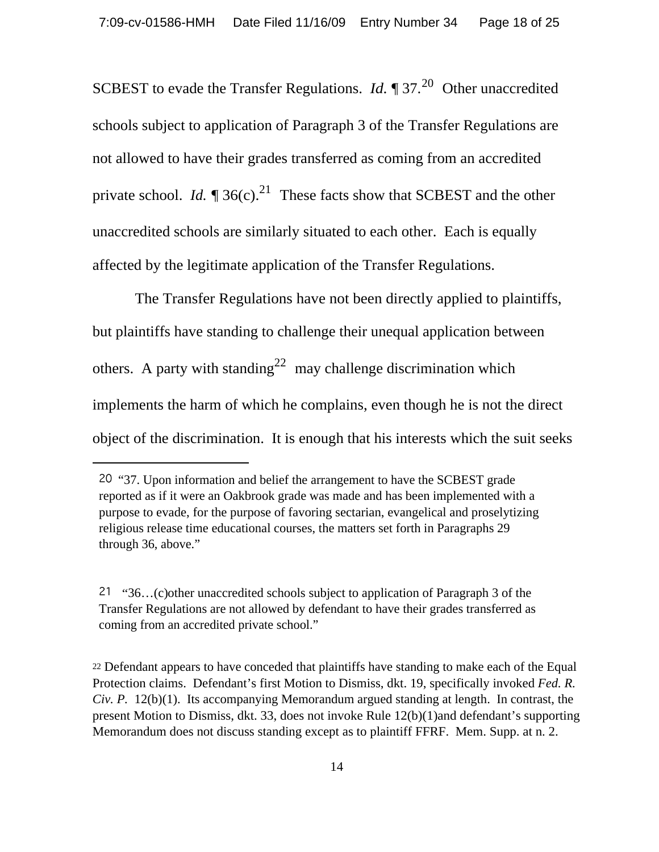SCBEST to evade the Transfer Regulations. *Id.* 1 37.<sup>20</sup> Other unaccredited schools subject to application of Paragraph 3 of the Transfer Regulations are not allowed to have their grades transferred as coming from an accredited private school. *Id.*  $\sqrt{ }$  36(c).<sup>21</sup> These facts show that SCBEST and the other unaccredited schools are similarly situated to each other. Each is equally affected by the legitimate application of the Transfer Regulations.

 The Transfer Regulations have not been directly applied to plaintiffs, but plaintiffs have standing to challenge their unequal application between others. A party with standing<sup>22</sup> may challenge discrimination which implements the harm of which he complains, even though he is not the direct object of the discrimination. It is enough that his interests which the suit seeks

 <sup>&</sup>quot;37. Upon information and belief the arrangement to have the SCBEST grade reported as if it were an Oakbrook grade was made and has been implemented with a purpose to evade, for the purpose of favoring sectarian, evangelical and proselytizing religious release time educational courses, the matters set forth in Paragraphs 29 through 36, above."

 <sup>&</sup>quot;36…(c)other unaccredited schools subject to application of Paragraph 3 of the Transfer Regulations are not allowed by defendant to have their grades transferred as coming from an accredited private school."

<sup>22</sup> Defendant appears to have conceded that plaintiffs have standing to make each of the Equal Protection claims. Defendant's first Motion to Dismiss, dkt. 19, specifically invoked *Fed. R. Civ. P.* 12(b)(1). Its accompanying Memorandum argued standing at length. In contrast, the present Motion to Dismiss, dkt. 33, does not invoke Rule 12(b)(1)and defendant's supporting Memorandum does not discuss standing except as to plaintiff FFRF. Mem. Supp. at n. 2.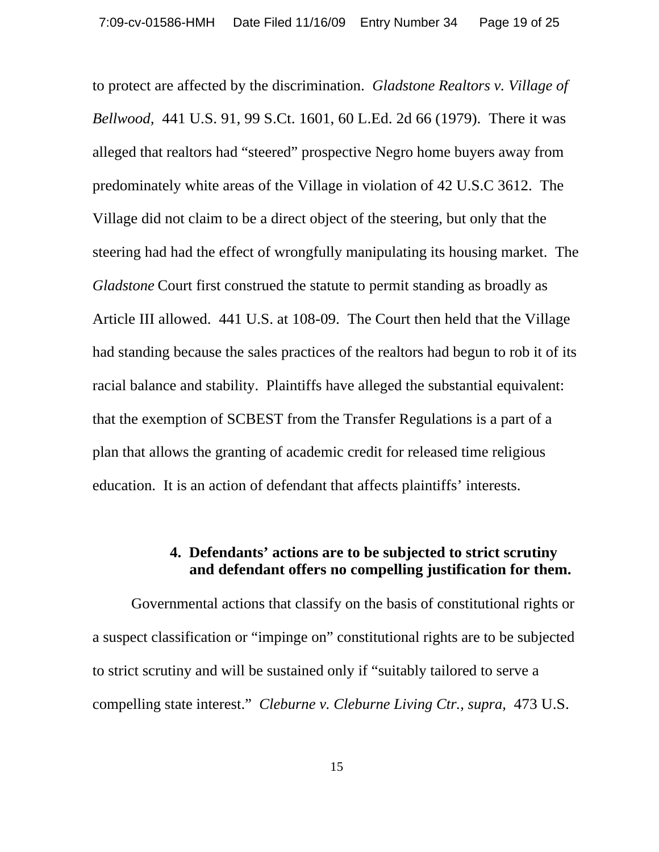to protect are affected by the discrimination. *Gladstone Realtors v. Village of Bellwood,* 441 U.S. 91, 99 S.Ct. 1601, 60 L.Ed. 2d 66 (1979). There it was alleged that realtors had "steered" prospective Negro home buyers away from predominately white areas of the Village in violation of 42 U.S.C 3612. The Village did not claim to be a direct object of the steering, but only that the steering had had the effect of wrongfully manipulating its housing market. The *Gladstone* Court first construed the statute to permit standing as broadly as Article III allowed. 441 U.S. at 108-09. The Court then held that the Village had standing because the sales practices of the realtors had begun to rob it of its racial balance and stability. Plaintiffs have alleged the substantial equivalent: that the exemption of SCBEST from the Transfer Regulations is a part of a plan that allows the granting of academic credit for released time religious education. It is an action of defendant that affects plaintiffs' interests.

# **4. Defendants' actions are to be subjected to strict scrutiny and defendant offers no compelling justification for them.**

Governmental actions that classify on the basis of constitutional rights or a suspect classification or "impinge on" constitutional rights are to be subjected to strict scrutiny and will be sustained only if "suitably tailored to serve a compelling state interest." *Cleburne v. Cleburne Living Ctr., supra,* 473 U.S.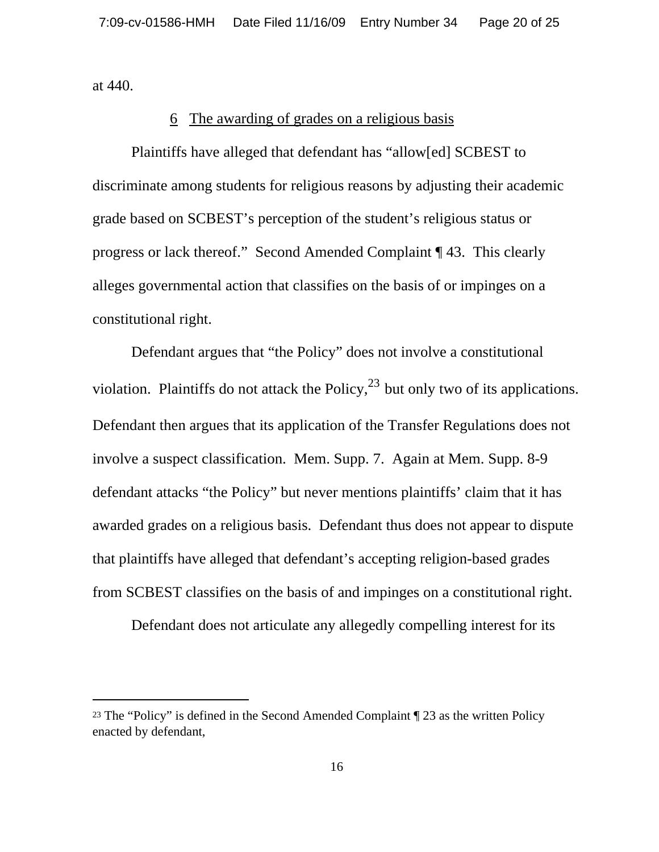at 440.

#### 6 The awarding of grades on a religious basis

Plaintiffs have alleged that defendant has "allow[ed] SCBEST to discriminate among students for religious reasons by adjusting their academic grade based on SCBEST's perception of the student's religious status or progress or lack thereof." Second Amended Complaint ¶ 43. This clearly alleges governmental action that classifies on the basis of or impinges on a constitutional right.

Defendant argues that "the Policy" does not involve a constitutional violation. Plaintiffs do not attack the Policy,  $^{23}$  but only two of its applications. Defendant then argues that its application of the Transfer Regulations does not involve a suspect classification. Mem. Supp. 7. Again at Mem. Supp. 8-9 defendant attacks "the Policy" but never mentions plaintiffs' claim that it has awarded grades on a religious basis. Defendant thus does not appear to dispute that plaintiffs have alleged that defendant's accepting religion-based grades from SCBEST classifies on the basis of and impinges on a constitutional right.

Defendant does not articulate any allegedly compelling interest for its

<sup>23</sup> The "Policy" is defined in the Second Amended Complaint ¶ 23 as the written Policy enacted by defendant,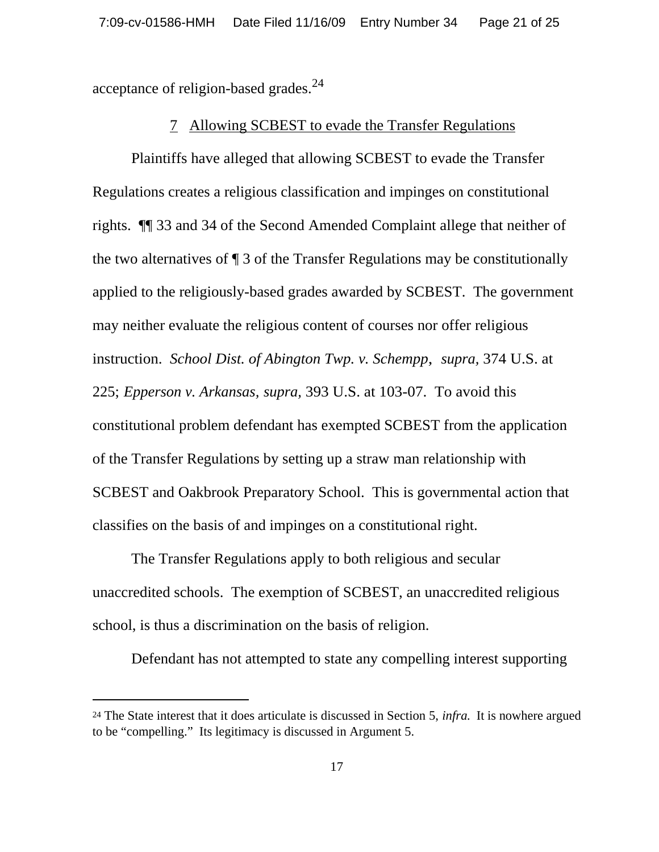acceptance of religion-based grades. $^{24}$ 

#### 7 Allowing SCBEST to evade the Transfer Regulations

Plaintiffs have alleged that allowing SCBEST to evade the Transfer Regulations creates a religious classification and impinges on constitutional rights. ¶¶ 33 and 34 of the Second Amended Complaint allege that neither of the two alternatives of ¶ 3 of the Transfer Regulations may be constitutionally applied to the religiously-based grades awarded by SCBEST. The government may neither evaluate the religious content of courses nor offer religious instruction. *School Dist. of Abington Twp. v. Schempp*, *supra,* 374 U.S. at 225; *Epperson v. Arkansas, supra,* 393 U.S. at 103-07. To avoid this constitutional problem defendant has exempted SCBEST from the application of the Transfer Regulations by setting up a straw man relationship with SCBEST and Oakbrook Preparatory School. This is governmental action that classifies on the basis of and impinges on a constitutional right.

The Transfer Regulations apply to both religious and secular unaccredited schools. The exemption of SCBEST, an unaccredited religious school, is thus a discrimination on the basis of religion.

Defendant has not attempted to state any compelling interest supporting

<sup>24</sup> The State interest that it does articulate is discussed in Section 5, *infra.* It is nowhere argued to be "compelling." Its legitimacy is discussed in Argument 5.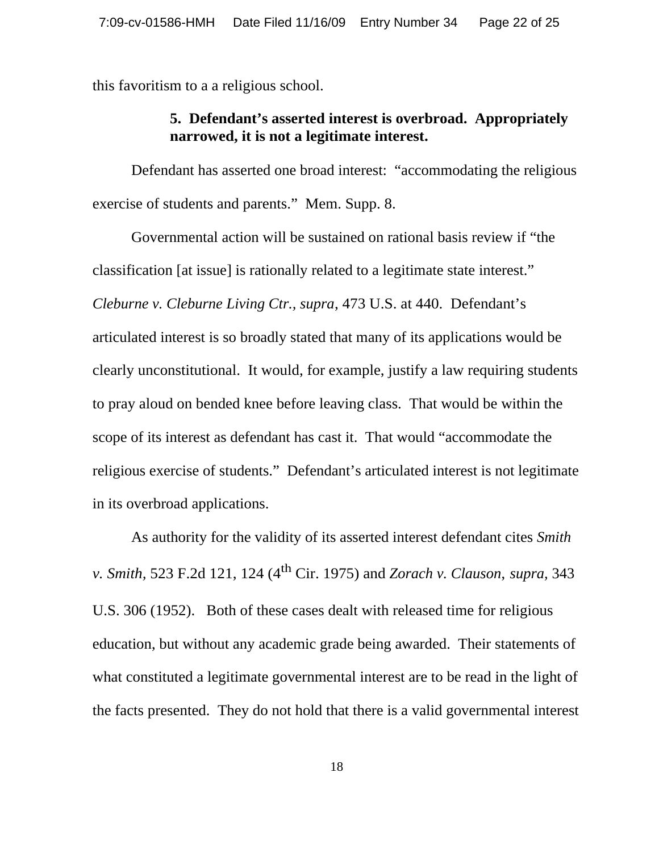this favoritism to a a religious school.

# **5. Defendant's asserted interest is overbroad. Appropriately narrowed, it is not a legitimate interest.**

Defendant has asserted one broad interest: "accommodating the religious exercise of students and parents." Mem. Supp. 8.

Governmental action will be sustained on rational basis review if "the classification [at issue] is rationally related to a legitimate state interest." *Cleburne v. Cleburne Living Ctr., supra*, 473 U.S. at 440. Defendant's articulated interest is so broadly stated that many of its applications would be clearly unconstitutional. It would, for example, justify a law requiring students to pray aloud on bended knee before leaving class. That would be within the scope of its interest as defendant has cast it. That would "accommodate the religious exercise of students." Defendant's articulated interest is not legitimate in its overbroad applications.

As authority for the validity of its asserted interest defendant cites *Smith v. Smith,* 523 F.2d 121, 124 (4th Cir. 1975) and *Zorach v. Clauson*, *supra,* 343 U.S. 306 (1952). Both of these cases dealt with released time for religious education, but without any academic grade being awarded. Their statements of what constituted a legitimate governmental interest are to be read in the light of the facts presented. They do not hold that there is a valid governmental interest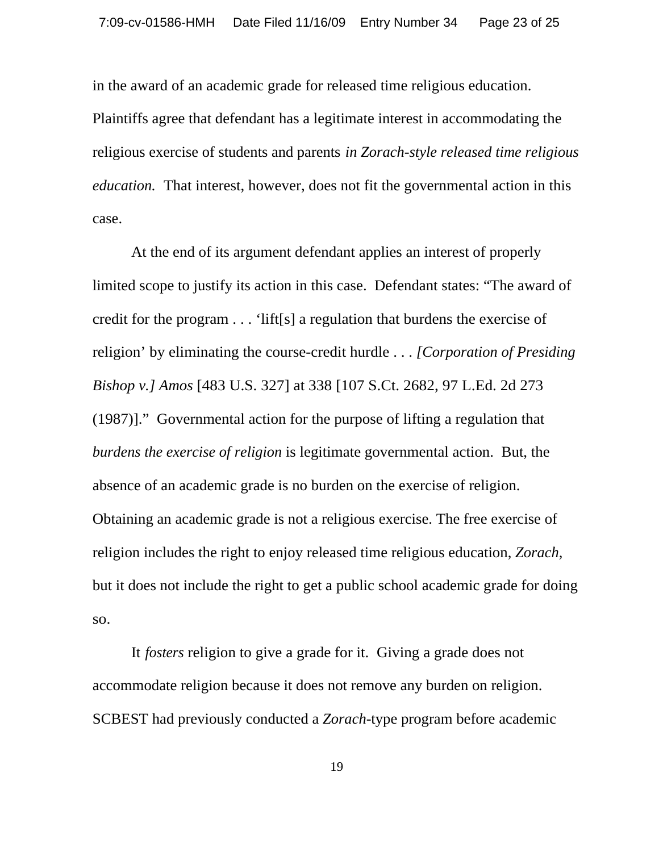in the award of an academic grade for released time religious education. Plaintiffs agree that defendant has a legitimate interest in accommodating the religious exercise of students and parents *in Zorach-style released time religious education.* That interest, however, does not fit the governmental action in this case.

At the end of its argument defendant applies an interest of properly limited scope to justify its action in this case. Defendant states: "The award of credit for the program . . . 'lift[s] a regulation that burdens the exercise of religion' by eliminating the course-credit hurdle . . . *[Corporation of Presiding Bishop v.] Amos* [483 U.S. 327] at 338 [107 S.Ct. 2682, 97 L.Ed. 2d 273 (1987)]." Governmental action for the purpose of lifting a regulation that *burdens the exercise of religion* is legitimate governmental action. But, the absence of an academic grade is no burden on the exercise of religion. Obtaining an academic grade is not a religious exercise. The free exercise of religion includes the right to enjoy released time religious education, *Zorach,* but it does not include the right to get a public school academic grade for doing so.

It *fosters* religion to give a grade for it. Giving a grade does not accommodate religion because it does not remove any burden on religion. SCBEST had previously conducted a *Zorach-*type program before academic